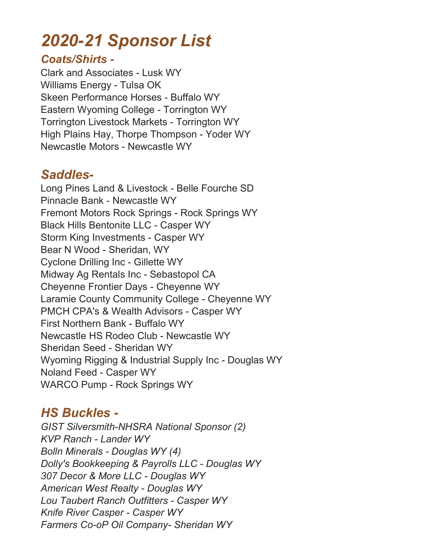# 2020-21 Sponsor List

#### Coats/Shirts -

Clark and Associates - Lusk WY Williams Energy - Tulsa OK Skeen Performance Horses - Buffalo WY Eastern Wyoming College - Torrington WY Torrington Livestock Markets - Torrington WY High Plains Hay, Thorpe Thompson - Yoder WY Newcastle Motors - Newcastle WY

# Saddles-

Long Pines Land & Livestock - Belle Fourche SD Pinnacle Bank - Newcastle WY Fremont Motors Rock Springs - Rock Springs WY Black Hills Bentonite LLC - Casper WY Storm King Investments - Casper WY Bear N Wood - Sheridan, WY Cyclone Drilling Inc - Gillette WY Midway Ag Rentals Inc - Sebastopol CA Cheyenne Frontier Days - Cheyenne WY Laramie County Community College - Cheyenne WY PMCH CPA's & Wealth Advisors - Casper WY First Northern Bank - Buffalo WY Newcastle HS Rodeo Club - Newcastle WY Sheridan Seed - Sheridan WY Wyoming Rigging & Industrial Supply Inc - Douglas WY Noland Feed - Casper WY WARCO Pump - Rock Springs WY

# HS Buckles -

GIST Silversmith-NHSRA National Sponsor (2) KVP Ranch - Lander WY Bolln Minerals - Douglas WY (4) Dolly's Bookkeeping & Payrolls LLC - Douglas WY 307 Decor & More LLC - Douglas WY American West Realty - Douglas WY Lou Taubert Ranch Outfitters - Casper WY Knife River Casper - Casper WY Farmers Co-oP Oil Company- Sheridan WY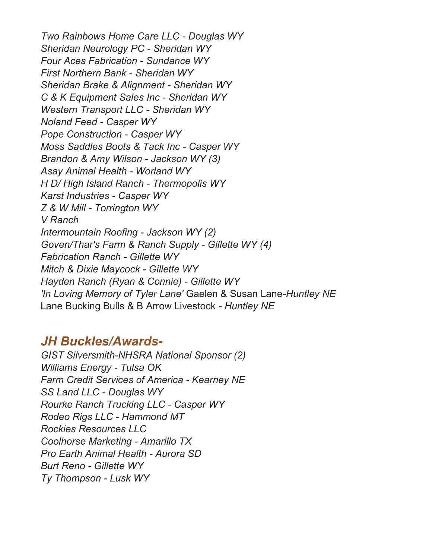Two Rainbows Home Care LLC - Douglas WY Sheridan Neurology PC - Sheridan WY Four Aces Fabrication - Sundance WY First Northern Bank - Sheridan WY Sheridan Brake & Alignment - Sheridan WY C & K Equipment Sales Inc - Sheridan WY Western Transport LLC - Sheridan WY Noland Feed - Casper WY Pope Construction - Casper WY Moss Saddles Boots & Tack Inc - Casper WY Brandon & Amy Wilson - Jackson WY (3) Asay Animal Health - Worland WY H D/ High Island Ranch - Thermopolis WY Karst Industries - Casper WY Z & W Mill - Torrington WY V Ranch Intermountain Roofing - Jackson WY (2) Goven/Thar's Farm & Ranch Supply - Gillette WY (4) Fabrication Ranch - Gillette WY Mitch & Dixie Maycock - Gillette WY Hayden Ranch (Ryan & Connie) - Gillette WY 'In Loving Memory of Tyler Lane' Gaelen & Susan Lane-Huntley NE Lane Bucking Bulls & B Arrow Livestock - Huntley NE

### JH Buckles/Awards-

GIST Silversmith-NHSRA National Sponsor (2) Williams Energy - Tulsa OK Farm Credit Services of America - Kearney NE SS Land LLC - Douglas WY Rourke Ranch Trucking LLC - Casper WY Rodeo Rigs LLC - Hammond MT Rockies Resources LLC Coolhorse Marketing - Amarillo TX Pro Earth Animal Health - Aurora SD Burt Reno - Gillette WY Ty Thompson - Lusk WY